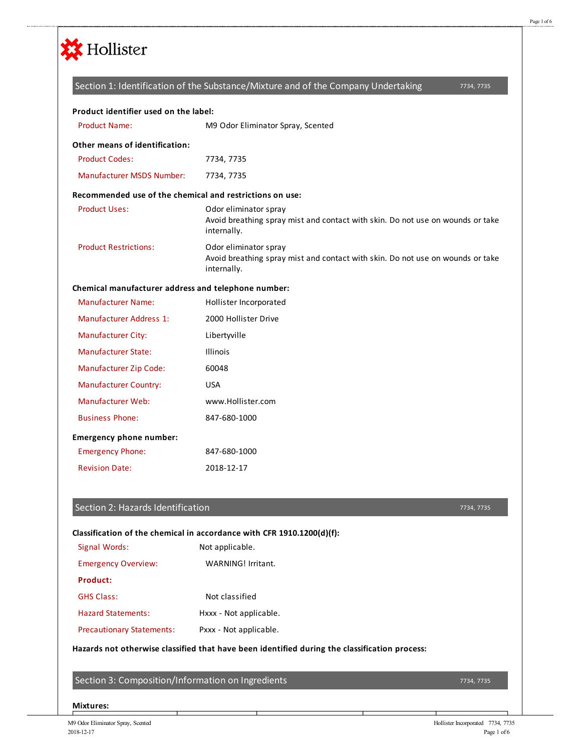

# 7734, 7735 Product Name: M9 Odor Eliminator Spray, Scented Product Codes: 7734, 7735 Manufacturer MSDS Number: 7734, 7735 Product Uses: Odor eliminator spray Avoid breathing spray mist and contact with skin. Do not use on wounds or take internally. Product Restrictions: Odor eliminator spray Avoid breathing spray mist and contact with skin. Do not use on wounds or take internally. Manufacturer Name: Hollister Incorporated Manufacturer Address 1: 2000 Hollister Drive Manufacturer City: Libertyville Manufacturer State: Illinois Manufacturer Zip Code: 60048 Manufacturer Country: USA Manufacturer Web: www.Hollister.com Business Phone: 847-680-1000 Emergency Phone: 847-680-1000 Revision Date: 2018-12-17 **Product identifier used on the label: Other means of identification: Recommended use of the chemical and restrictions on use: Chemical manufacturer address and telephone number: Emergency phone number:** Section 1: Identification of the Substance/Mixture and of the Company Undertaking

## Section 2: Hazards Identification

### 7734, 7735

# **Classification of the chemical in accordance with CFR 1910.1200(d)(f):**

| Signal Words:                    | Not applicable.        |
|----------------------------------|------------------------|
| <b>Emergency Overview:</b>       | WARNING! Irritant.     |
| Product:                         |                        |
| <b>GHS Class:</b>                | Not classified         |
| Hazard Statements:               | Hxxx - Not applicable. |
| <b>Precautionary Statements:</b> | Pxxx - Not applicable. |

## **Hazards not otherwise classified that have been identified during the classification process:**

Section 3: Composition/Information on Ingredients

7734, 7735

**Mixtures:**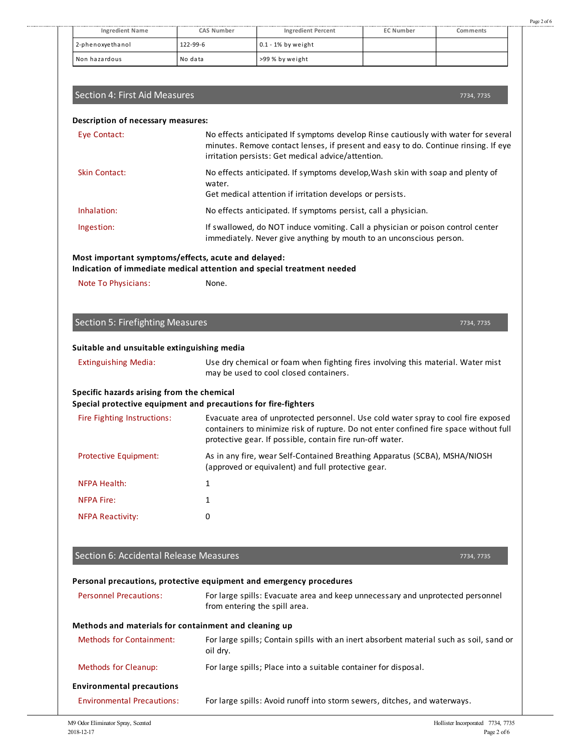| <b>Ingredient Name</b> | CAS Number | <b>Ingredient Percent</b> | <b>EC Number</b> | Comments |
|------------------------|------------|---------------------------|------------------|----------|
| 2-phenoxyethanol       | 122-99-6   | $0.1 - 1\%$ by weight     |                  |          |
| Non hazardous          | No data    | >99 % by weight           |                  |          |

### Section 4: First Aid Measures

7734, 7735

Page 2 of 6

#### **Description of necessary measures:**

| Eye Contact:         | No effects anticipated If symptoms develop Rinse cautiously with water for several<br>minutes. Remove contact lenses, if present and easy to do. Continue rinsing. If eye<br>irritation persists: Get medical advice/attention. |
|----------------------|---------------------------------------------------------------------------------------------------------------------------------------------------------------------------------------------------------------------------------|
| <b>Skin Contact:</b> | No effects anticipated. If symptoms develop, Wash skin with soap and plenty of<br>water.<br>Get medical attention if irritation develops or persists.                                                                           |
| Inhalation:          | No effects anticipated. If symptoms persist, call a physician.                                                                                                                                                                  |
| Ingestion:           | If swallowed, do NOT induce vomiting. Call a physician or poison control center<br>immediately. Never give anything by mouth to an unconscious person.                                                                          |

## **Most important symptoms/effects, acute and delayed:**

### **Indication of immediate medical attention and special treatment needed**

Note To Physicians: None.

|  |  | Section 5: Firefighting Measures |  |
|--|--|----------------------------------|--|
|--|--|----------------------------------|--|

7734, 7735

#### **Suitable and unsuitable extinguishing media**

| <b>Extinguishing Media:</b> |  |
|-----------------------------|--|
|-----------------------------|--|

Use dry chemical or foam when fighting fires involving this material. Water mist may be used to cool closed containers.

#### **Specific hazards arising from the chemical**

#### **Special protective equipment and precautions for fire-fighters**

| Fire Fighting Instructions:  | Evacuate area of unprotected personnel. Use cold water spray to cool fire exposed<br>containers to minimize risk of rupture. Do not enter confined fire space without full<br>protective gear. If possible, contain fire run-off water. |
|------------------------------|-----------------------------------------------------------------------------------------------------------------------------------------------------------------------------------------------------------------------------------------|
| <b>Protective Equipment:</b> | As in any fire, wear Self-Contained Breathing Apparatus (SCBA), MSHA/NIOSH<br>(approved or equivalent) and full protective gear.                                                                                                        |
| <b>NFPA Health:</b>          |                                                                                                                                                                                                                                         |
| <b>NFPA Fire:</b>            |                                                                                                                                                                                                                                         |
| <b>NFPA Reactivity:</b>      | 0                                                                                                                                                                                                                                       |

#### Section 6: Accidental Release Measures

7734, 7735

#### **Personal precautions, protective equipment and emergency procedures**

| <b>Personnel Precautions:</b> | For large spills: Evacuate area and keep unnecessary and unprotected personnel |
|-------------------------------|--------------------------------------------------------------------------------|
|                               | from entering the spill area.                                                  |
|                               |                                                                                |

#### **Methods and materials for containment and cleaning up**

| <b>Methods for Containment:</b>   | For large spills; Contain spills with an inert absorbent material such as soil, sand or<br>oil dry. |
|-----------------------------------|-----------------------------------------------------------------------------------------------------|
| <b>Methods for Cleanup:</b>       | For large spills; Place into a suitable container for disposal.                                     |
| <b>Environmental precautions</b>  |                                                                                                     |
| <b>Environmental Precautions:</b> | For large spills: Avoid runoff into storm sewers, ditches, and waterways.                           |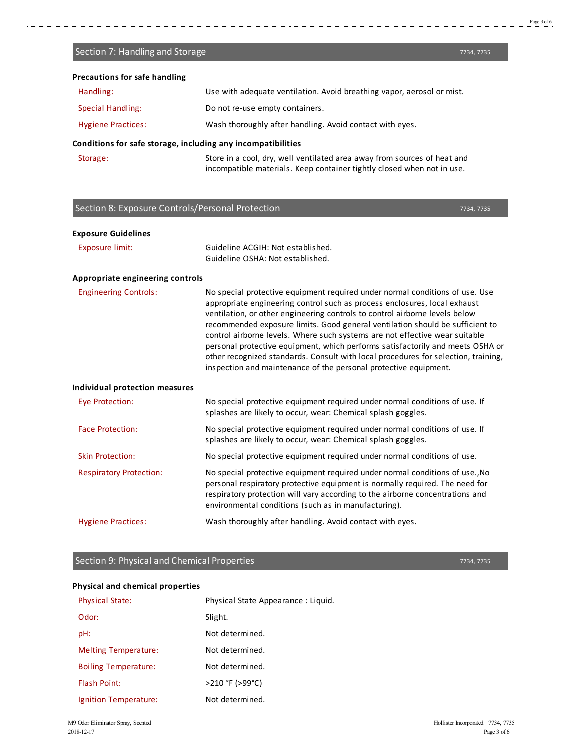7734, 7735

| <b>Precautions for safe handling</b>                         |                                                                                                                                                                                                                                                                                                                                                                                                                                                                                                                                                                                                                                                      |
|--------------------------------------------------------------|------------------------------------------------------------------------------------------------------------------------------------------------------------------------------------------------------------------------------------------------------------------------------------------------------------------------------------------------------------------------------------------------------------------------------------------------------------------------------------------------------------------------------------------------------------------------------------------------------------------------------------------------------|
| Handling:                                                    | Use with adequate ventilation. Avoid breathing vapor, aerosol or mist.                                                                                                                                                                                                                                                                                                                                                                                                                                                                                                                                                                               |
| <b>Special Handling:</b>                                     | Do not re-use empty containers.                                                                                                                                                                                                                                                                                                                                                                                                                                                                                                                                                                                                                      |
| <b>Hygiene Practices:</b>                                    | Wash thoroughly after handling. Avoid contact with eyes.                                                                                                                                                                                                                                                                                                                                                                                                                                                                                                                                                                                             |
| Conditions for safe storage, including any incompatibilities |                                                                                                                                                                                                                                                                                                                                                                                                                                                                                                                                                                                                                                                      |
| Storage:                                                     | Store in a cool, dry, well ventilated area away from sources of heat and<br>incompatible materials. Keep container tightly closed when not in use.                                                                                                                                                                                                                                                                                                                                                                                                                                                                                                   |
| Section 8: Exposure Controls/Personal Protection             | 7734, 7735                                                                                                                                                                                                                                                                                                                                                                                                                                                                                                                                                                                                                                           |
| <b>Exposure Guidelines</b>                                   |                                                                                                                                                                                                                                                                                                                                                                                                                                                                                                                                                                                                                                                      |
| <b>Exposure limit:</b>                                       | Guideline ACGIH: Not established.                                                                                                                                                                                                                                                                                                                                                                                                                                                                                                                                                                                                                    |
|                                                              | Guideline OSHA: Not established.                                                                                                                                                                                                                                                                                                                                                                                                                                                                                                                                                                                                                     |
| Appropriate engineering controls                             |                                                                                                                                                                                                                                                                                                                                                                                                                                                                                                                                                                                                                                                      |
| <b>Engineering Controls:</b>                                 | No special protective equipment required under normal conditions of use. Use<br>appropriate engineering control such as process enclosures, local exhaust<br>ventilation, or other engineering controls to control airborne levels below<br>recommended exposure limits. Good general ventilation should be sufficient to<br>control airborne levels. Where such systems are not effective wear suitable<br>personal protective equipment, which performs satisfactorily and meets OSHA or<br>other recognized standards. Consult with local procedures for selection, training,<br>inspection and maintenance of the personal protective equipment. |
| <b>Individual protection measures</b>                        |                                                                                                                                                                                                                                                                                                                                                                                                                                                                                                                                                                                                                                                      |
| Eye Protection:                                              | No special protective equipment required under normal conditions of use. If<br>splashes are likely to occur, wear: Chemical splash goggles.                                                                                                                                                                                                                                                                                                                                                                                                                                                                                                          |
| <b>Face Protection:</b>                                      | No special protective equipment required under normal conditions of use. If<br>splashes are likely to occur, wear: Chemical splash goggles.                                                                                                                                                                                                                                                                                                                                                                                                                                                                                                          |
| <b>Skin Protection:</b>                                      | No special protective equipment required under normal conditions of use.                                                                                                                                                                                                                                                                                                                                                                                                                                                                                                                                                                             |
| <b>Respiratory Protection:</b>                               | No special protective equipment required under normal conditions of use., No<br>personal respiratory protective equipment is normally required. The need for<br>respiratory protection will vary according to the airborne concentrations and<br>environmental conditions (such as in manufacturing).                                                                                                                                                                                                                                                                                                                                                |
| <b>Hygiene Practices:</b>                                    | Wash thoroughly after handling. Avoid contact with eyes.                                                                                                                                                                                                                                                                                                                                                                                                                                                                                                                                                                                             |

## Section 9: Physical and Chemical Properties

## **Physical and chemical properties**

Section 7: Handling and Storage

| <b>Physical State:</b>      | Physical State Appearance: Liquid. |
|-----------------------------|------------------------------------|
| Odor:                       | Slight.                            |
| pH:                         | Not determined.                    |
| <b>Melting Temperature:</b> | Not determined.                    |
| <b>Boiling Temperature:</b> | Not determined.                    |
| <b>Flash Point:</b>         | >210 °F (>99°C)                    |
| Ignition Temperature:       | Not determined.                    |

7734, 7735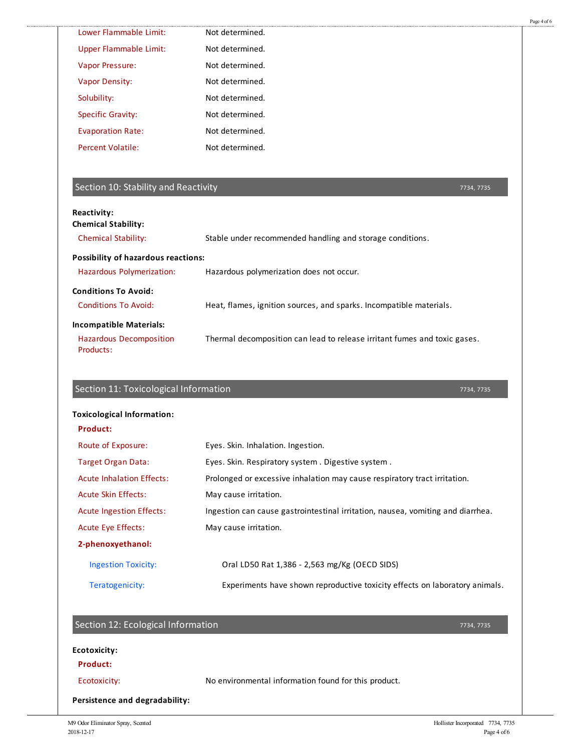| Lower Flammable Limit:                                                                                                          | Not determined.                                                                         |
|---------------------------------------------------------------------------------------------------------------------------------|-----------------------------------------------------------------------------------------|
| <b>Upper Flammable Limit:</b>                                                                                                   | Not determined.                                                                         |
| Vapor Pressure:                                                                                                                 | Not determined.                                                                         |
| <b>Vapor Density:</b>                                                                                                           | Not determined.                                                                         |
| Solubility:                                                                                                                     | Not determined.                                                                         |
| <b>Specific Gravity:</b>                                                                                                        | Not determined.                                                                         |
| <b>Evaporation Rate:</b>                                                                                                        | Not determined.                                                                         |
| <b>Percent Volatile:</b>                                                                                                        | Not determined.                                                                         |
| Section 10: Stability and Reactivity                                                                                            | 7734, 7735                                                                              |
| Reactivity:<br><b>Chemical Stability:</b>                                                                                       |                                                                                         |
| <b>Chemical Stability:</b>                                                                                                      | Stable under recommended handling and storage conditions.                               |
| Possibility of hazardous reactions:                                                                                             |                                                                                         |
| Hazardous Polymerization:                                                                                                       | Hazardous polymerization does not occur.                                                |
| <b>Conditions To Avoid:</b>                                                                                                     |                                                                                         |
| <b>Conditions To Avoid:</b>                                                                                                     | Heat, flames, ignition sources, and sparks. Incompatible materials.                     |
|                                                                                                                                 |                                                                                         |
|                                                                                                                                 |                                                                                         |
| <b>Hazardous Decomposition</b><br>Products:                                                                                     | Thermal decomposition can lead to release irritant fumes and toxic gases.<br>7734, 7735 |
|                                                                                                                                 |                                                                                         |
| <b>Product:</b>                                                                                                                 |                                                                                         |
| Route of Exposure:                                                                                                              | Eyes. Skin. Inhalation. Ingestion.                                                      |
| <b>Target Organ Data:</b>                                                                                                       | Eyes. Skin. Respiratory system. Digestive system.                                       |
| <b>Acute Inhalation Effects:</b>                                                                                                | Prolonged or excessive inhalation may cause respiratory tract irritation.               |
| <b>Acute Skin Effects:</b>                                                                                                      | May cause irritation.                                                                   |
| <b>Acute Ingestion Effects:</b>                                                                                                 | Ingestion can cause gastrointestinal irritation, nausea, vomiting and diarrhea.         |
| <b>Acute Eye Effects:</b>                                                                                                       | May cause irritation.                                                                   |
| 2-phenoxyethanol:                                                                                                               |                                                                                         |
| <b>Ingestion Toxicity:</b>                                                                                                      | Oral LD50 Rat 1,386 - 2,563 mg/Kg (OECD SIDS)                                           |
| <b>Incompatible Materials:</b><br>Section 11: Toxicological Information<br><b>Toxicological Information:</b><br>Teratogenicity: | Experiments have shown reproductive toxicity effects on laboratory animals.             |
|                                                                                                                                 |                                                                                         |
| Section 12: Ecological Information                                                                                              | 7734, 7735                                                                              |
| <b>Ecotoxicity:</b>                                                                                                             |                                                                                         |
| Product:                                                                                                                        |                                                                                         |
| Ecotoxicity:                                                                                                                    | No environmental information found for this product.                                    |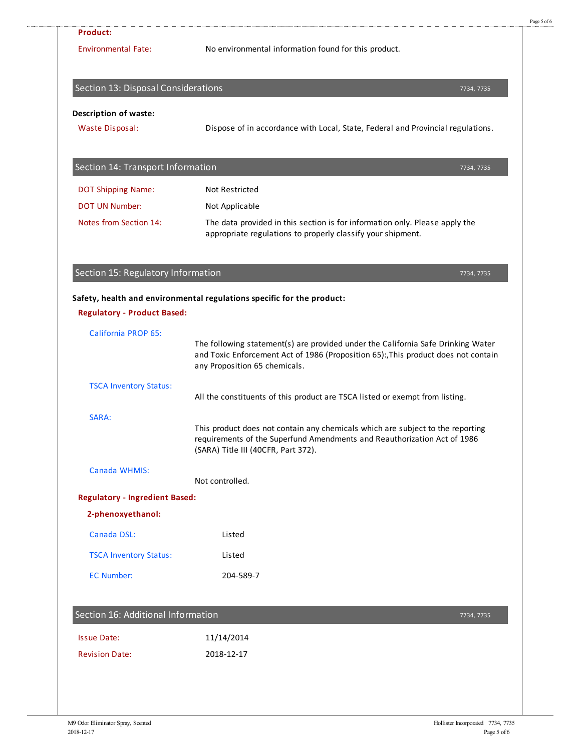| <b>Environmental Fate:</b>                                 | No environmental information found for this product.                                                                                                                                                    |
|------------------------------------------------------------|---------------------------------------------------------------------------------------------------------------------------------------------------------------------------------------------------------|
| Section 13: Disposal Considerations                        | 7734, 7735                                                                                                                                                                                              |
| <b>Description of waste:</b>                               |                                                                                                                                                                                                         |
| <b>Waste Disposal:</b>                                     | Dispose of in accordance with Local, State, Federal and Provincial regulations.                                                                                                                         |
| Section 14: Transport Information                          | 7734, 7735                                                                                                                                                                                              |
| <b>DOT Shipping Name:</b>                                  | <b>Not Restricted</b>                                                                                                                                                                                   |
| <b>DOT UN Number:</b>                                      | Not Applicable                                                                                                                                                                                          |
| Notes from Section 14:                                     | The data provided in this section is for information only. Please apply the<br>appropriate regulations to properly classify your shipment.                                                              |
| Section 15: Regulatory Information                         | 7734, 7735                                                                                                                                                                                              |
| <b>Regulatory - Product Based:</b>                         | Safety, health and environmental regulations specific for the product:                                                                                                                                  |
| California PROP 65:                                        |                                                                                                                                                                                                         |
|                                                            | The following statement(s) are provided under the California Safe Drinking Water<br>and Toxic Enforcement Act of 1986 (Proposition 65):, This product does not contain<br>any Proposition 65 chemicals. |
| <b>TSCA Inventory Status:</b>                              | All the constituents of this product are TSCA listed or exempt from listing.                                                                                                                            |
|                                                            |                                                                                                                                                                                                         |
| SARA:                                                      | This product does not contain any chemicals which are subject to the reporting<br>requirements of the Superfund Amendments and Reauthorization Act of 1986<br>(SARA) Title III (40CFR, Part 372).       |
| Canada WHMIS:                                              |                                                                                                                                                                                                         |
|                                                            | Not controlled.                                                                                                                                                                                         |
| <b>Regulatory - Ingredient Based:</b><br>2-phenoxyethanol: |                                                                                                                                                                                                         |
| Canada DSL:                                                | Listed                                                                                                                                                                                                  |
| <b>TSCA Inventory Status:</b>                              | Listed                                                                                                                                                                                                  |
| <b>EC Number:</b>                                          | 204-589-7                                                                                                                                                                                               |
| Section 16: Additional Information                         | 7734, 7735                                                                                                                                                                                              |
| <b>Issue Date:</b>                                         | 11/14/2014                                                                                                                                                                                              |